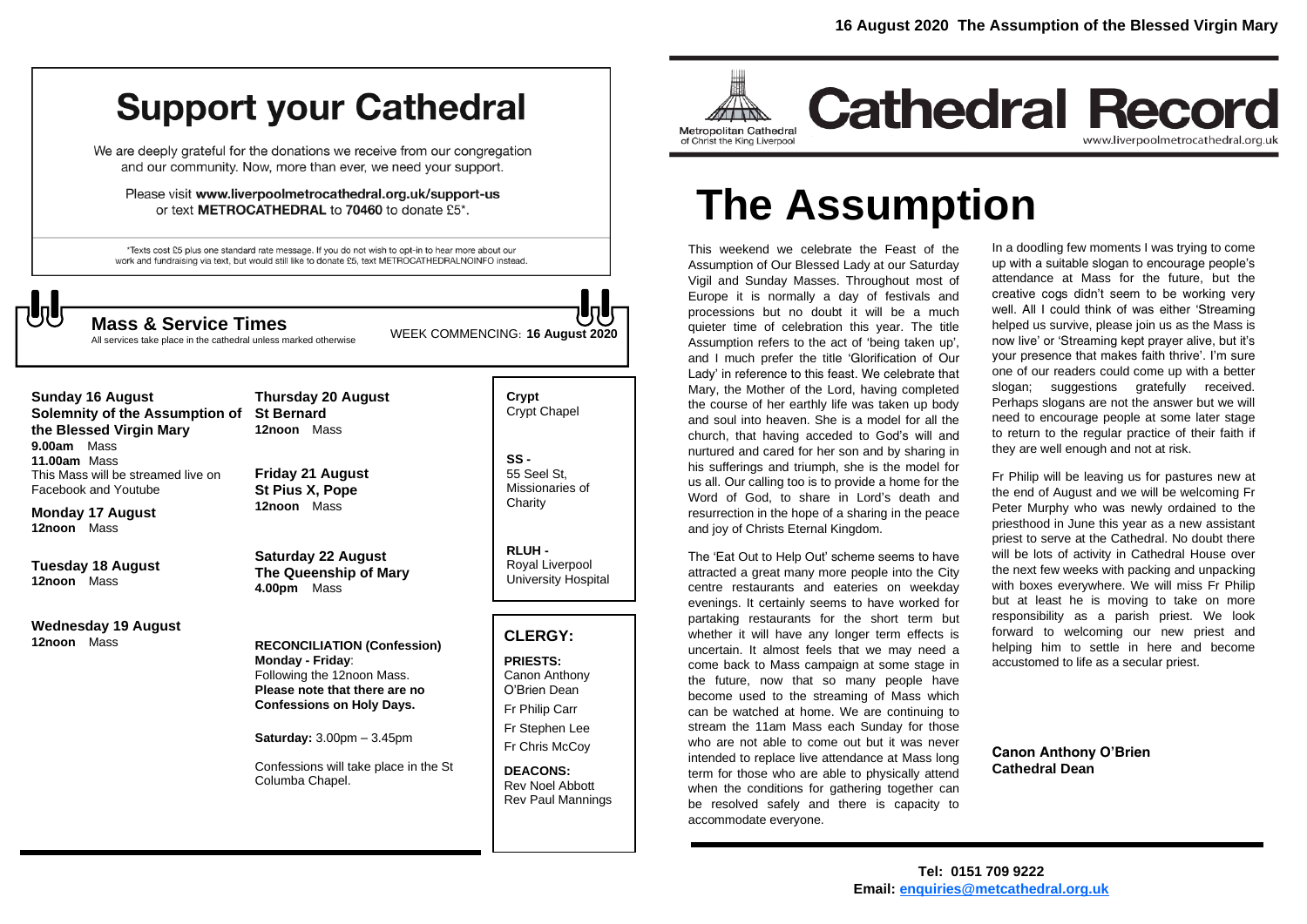## **Support your Cathedral**

We are deeply grateful for the donations we receive from our congregation and our community. Now, more than ever, we need your support.

Please visit www.liverpoolmetrocathedral.org.uk/support-us or text METROCATHEDRAL to 70460 to donate £5\*.

\*Texts cost £5 plus one standard rate message. If you do not wish to opt-in to hear more about our work and fundraising via text, but would still like to donate £5, text METROCATHEDRALNOINFO instead.

All services take place in the cathedral unless marked otherwise

WEEK COMMENCING: **<sup>16</sup> August <sup>2020</sup> Mass & Service Times**

**Sunday 16 August Solemnity of the Assumption of the Blessed Virgin Mary 9.00am** Mass **11.00am** Mass This Mass will be streamed live on Facebook and Youtube

**Monday 17 August 12noon** Mass

**Tuesday 18 August 12noon** Mass

**Wednesday 19 August 12noon** Mass

**Thursday 20 August St Bernard 12noon** Mass

**Friday 21 August St Pius X, Pope 12noon** Mass

**Saturday 22 August The Queenship of Mary 4.00pm** Mass

**RECONCILIATION (Confession) Monday - Friday**: Following the 12noon Mass. **Please note that there are no Confessions on Holy Days.**

**Saturday:** 3.00pm – 3.45pm

Confessions will take place in the St Columba Chapel.

**Crypt**  Crypt Chapel

**SS -** 55 Seel St, Missionaries of **Charity** 

**RLUH -** Royal Liverpool University Hospital

#### **CLERGY:**

**PRIESTS:** Canon Anthony O'Brien *Dean* Fr Philip Carr Fr Stephen Lee Fr Chris McCoy

**DEACONS:** Rev Noel Abbott Rev Paul Mannings



# **The Assumption**

This weekend we celebrate the Feast of the Assumption of Our Blessed Lady at our Saturday Vigil and Sunday Masses. Throughout most of Europe it is normally a day of festivals and processions but no doubt it will be a much quieter time of celebration this year. The title Assumption refers to the act of 'being taken up', and I much prefer the title 'Glorification of Our Lady' in reference to this feast. We celebrate that Mary, the Mother of the Lord, having completed the course of her earthly life was taken up body and soul into heaven. She is a model for all the church, that having acceded to God's will and nurtured and cared for her son and by sharing in his sufferings and triumph, she is the model for us all. Our calling too is to provide a home for the Word of God, to share in Lord's death and resurrection in the hope of a sharing in the peace and joy of Christs Eternal Kingdom.

The 'Eat Out to Help Out' scheme seems to have attracted a great many more people into the City centre restaurants and eateries on weekday evenings. It certainly seems to have worked for partaking restaurants for the short term but whether it will have any longer term effects is uncertain. It almost feels that we may need a come back to Mass campaign at some stage in the future, now that so many people have become used to the streaming of Mass which can be watched at home. We are continuing to stream the 11am Mass each Sunday for those who are not able to come out but it was never intended to replace live attendance at Mass long term for those who are able to physically attend when the conditions for gathering together can be resolved safely and there is capacity to accommodate everyone.

In a doodling few moments I was trying to come up with a suitable slogan to encourage people's attendance at Mass for the future, but the creative cogs didn't seem to be working very well. All I could think of was either 'Streaming helped us survive, please join us as the Mass is now live' or 'Streaming kept prayer alive, but it's your presence that makes faith thrive'. I'm sure one of our readers could come up with a better slogan; suggestions gratefully received. Perhaps slogans are not the answer but we will need to encourage people at some later stage to return to the regular practice of their faith if they are well enough and not at risk.

Fr Philip will be leaving us for pastures new at the end of August and we will be welcoming Fr Peter Murphy who was newly ordained to the priesthood in June this year as a new assistant priest to serve at the Cathedral. No doubt there will be lots of activity in Cathedral House over the next few weeks with packing and unpacking with boxes everywhere. We will miss Fr Philip but at least he is moving to take on more responsibility as a parish priest. We look forward to welcoming our new priest and helping him to settle in here and become accustomed to life as a secular priest.

**Canon Anthony O'Brien Cathedral Dean**